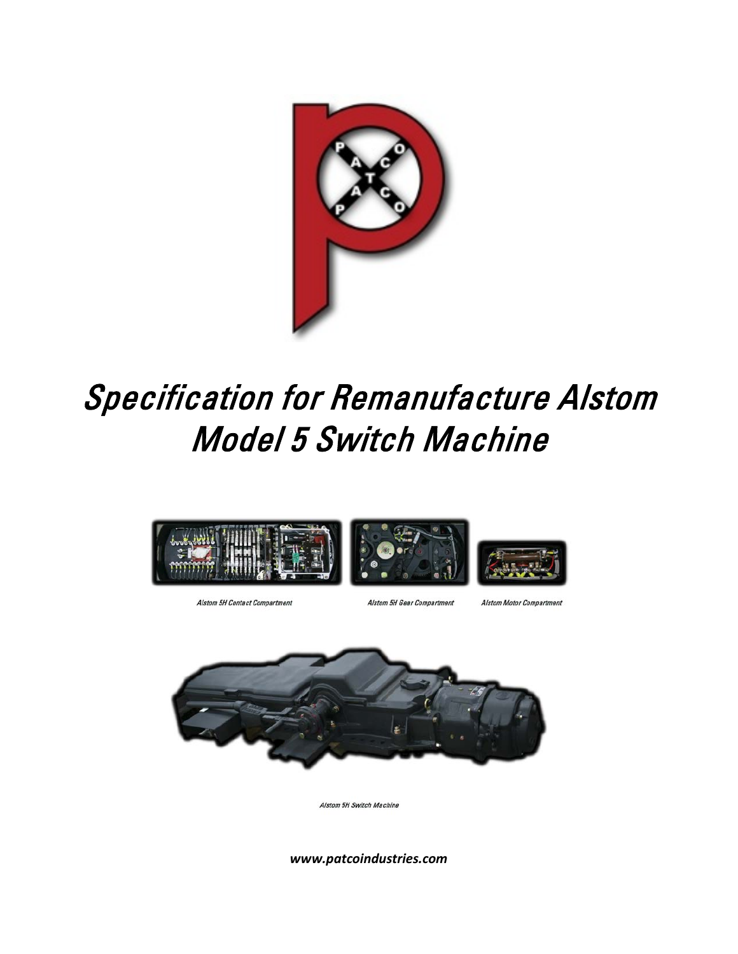

# Specification for Remanufacture Alstom Model 5 Switch Machine



Alstom 5H Contact Compartment

Alstom 5H Gear Compartment

Alstom Motor Compartment



Alstom 5H Switch Machine

*www.patcoindustries.com*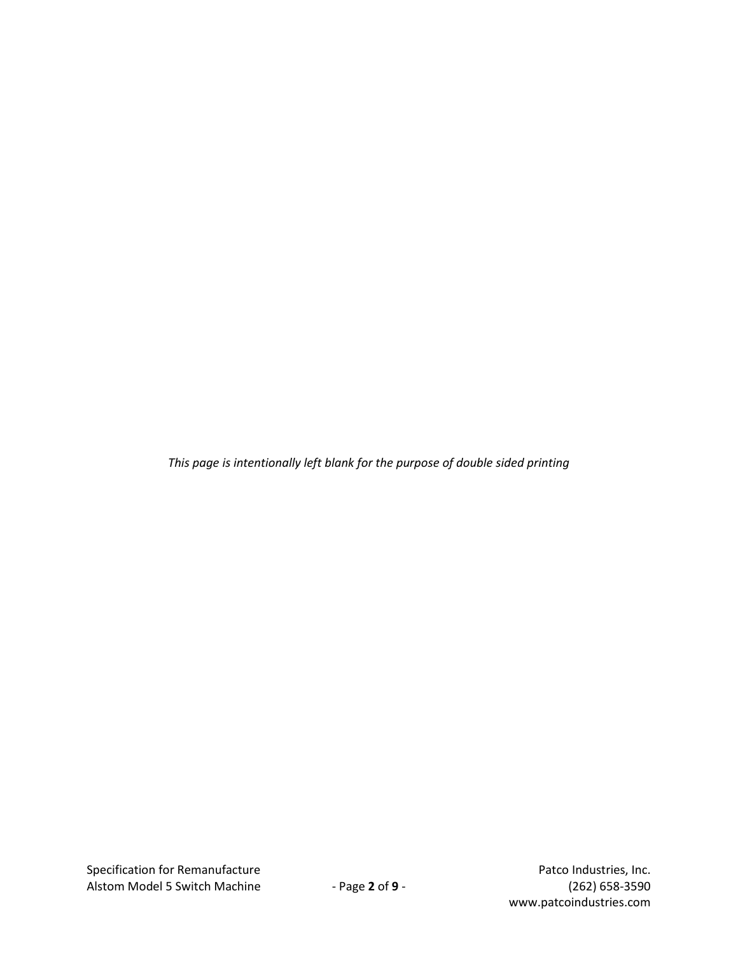*This page is intentionally left blank for the purpose of double sided printing*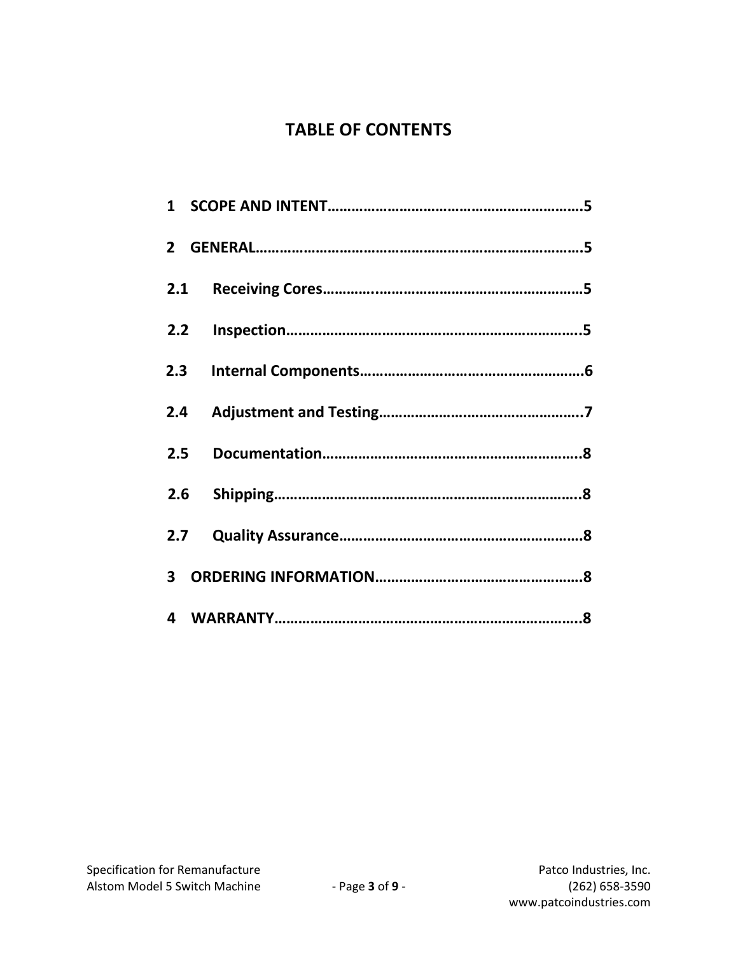## **TABLE OF CONTENTS**

| 2.1 |  |
|-----|--|
| 2.2 |  |
| 2.3 |  |
| 2.4 |  |
| 2.5 |  |
|     |  |
| 2.7 |  |
|     |  |
|     |  |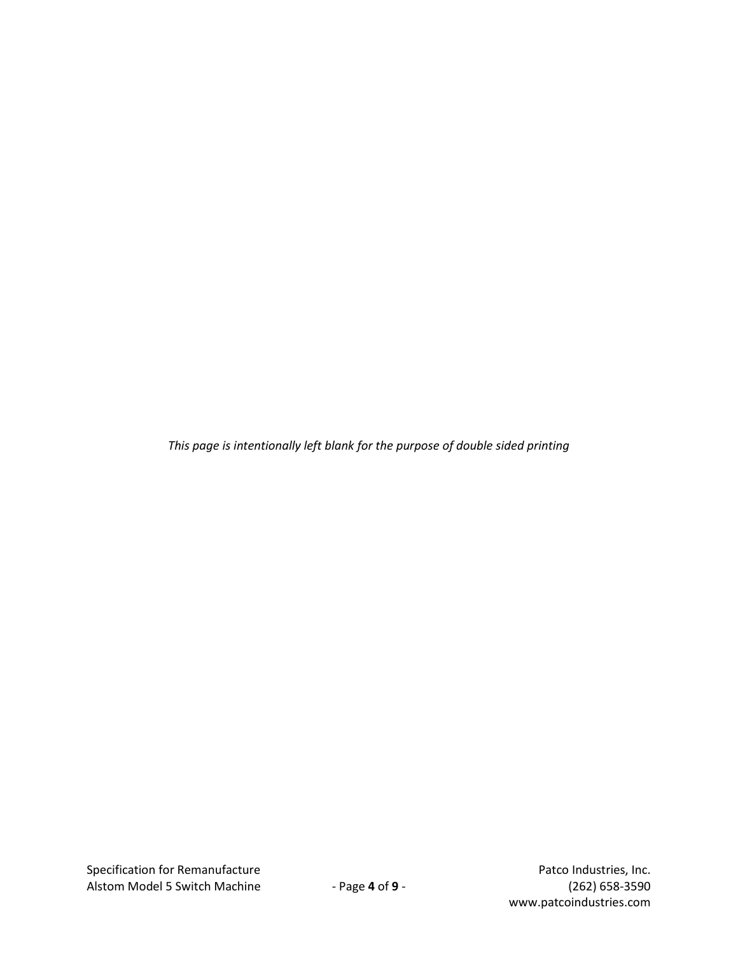*This page is intentionally left blank for the purpose of double sided printing*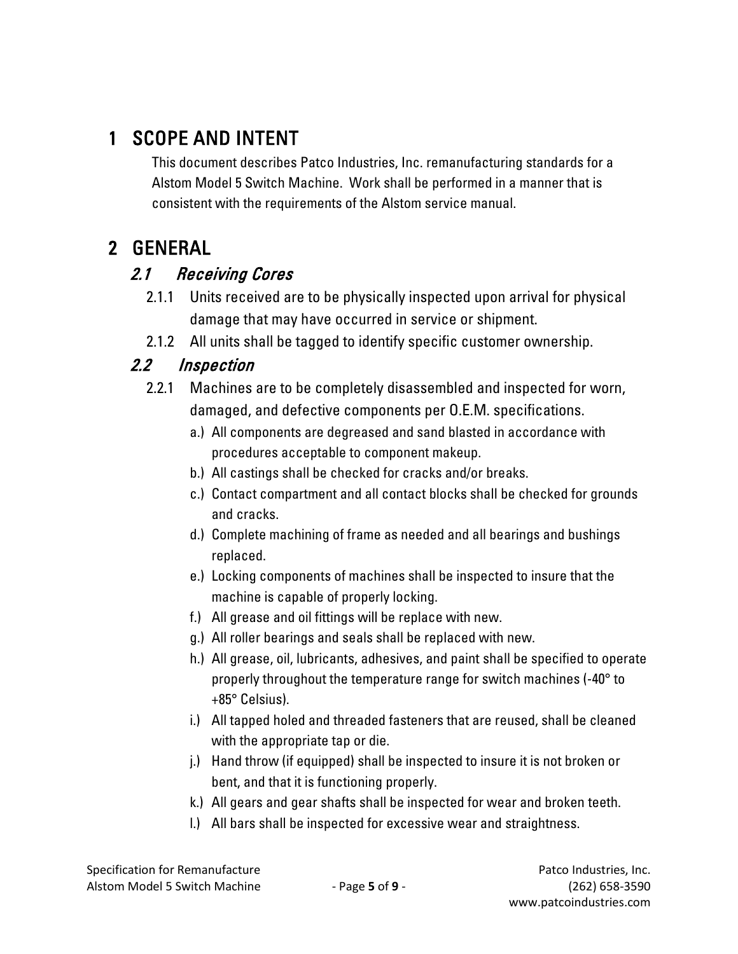# 1 SCOPE AND INTENT

This document describes Patco Industries, Inc. remanufacturing standards for a Alstom Model 5 Switch Machine. Work shall be performed in a manner that is consistent with the requirements of the Alstom service manual.

# 2 GENERAL

## 2.1 Receiving Cores

- 2.1.1 Units received are to be physically inspected upon arrival for physical damage that may have occurred in service or shipment.
- 2.1.2 All units shall be tagged to identify specific customer ownership.

## 2.2 Inspection

- 2.2.1 Machines are to be completely disassembled and inspected for worn, damaged, and defective components per O.E.M. specifications.
	- a.) All components are degreased and sand blasted in accordance with procedures acceptable to component makeup.
	- b.) All castings shall be checked for cracks and/or breaks.
	- c.) Contact compartment and all contact blocks shall be checked for grounds and cracks.
	- d.) Complete machining of frame as needed and all bearings and bushings replaced.
	- e.) Locking components of machines shall be inspected to insure that the machine is capable of properly locking.
	- f.) All grease and oil fittings will be replace with new.
	- g.) All roller bearings and seals shall be replaced with new.
	- h.) All grease, oil, lubricants, adhesives, and paint shall be specified to operate properly throughout the temperature range for switch machines (-40° to +85° Celsius).
	- i.) All tapped holed and threaded fasteners that are reused, shall be cleaned with the appropriate tap or die.
	- j.) Hand throw (if equipped) shall be inspected to insure it is not broken or bent, and that it is functioning properly.
	- k.) All gears and gear shafts shall be inspected for wear and broken teeth.
	- l.) All bars shall be inspected for excessive wear and straightness.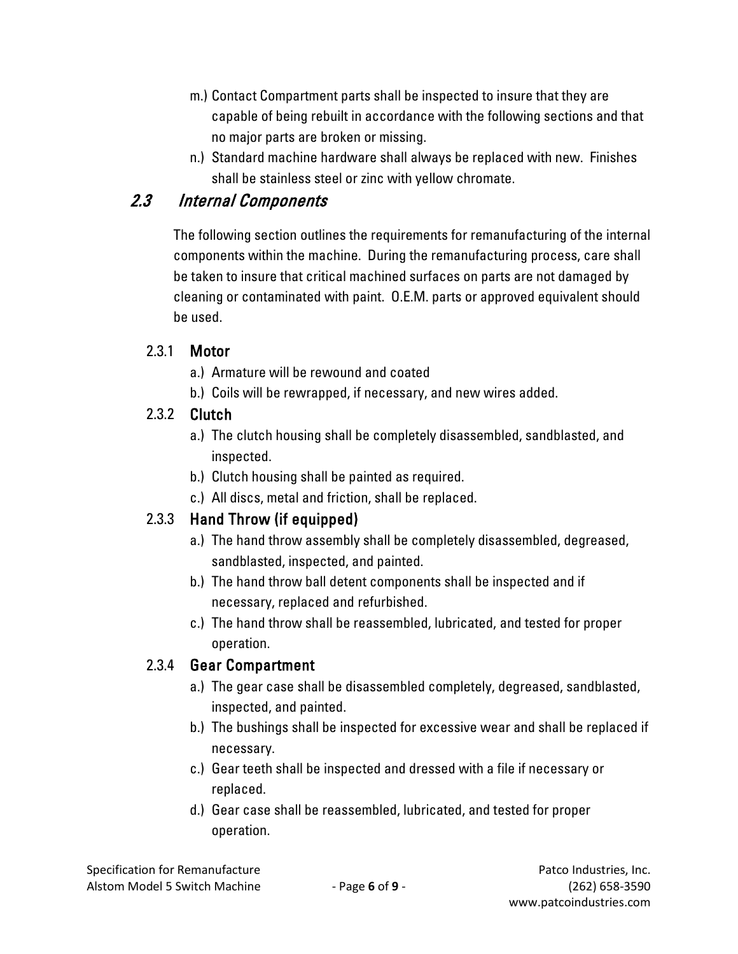- m.) Contact Compartment parts shall be inspected to insure that they are capable of being rebuilt in accordance with the following sections and that no major parts are broken or missing.
- n.) Standard machine hardware shall always be replaced with new. Finishes shall be stainless steel or zinc with yellow chromate.

## 2.3 Internal Components

The following section outlines the requirements for remanufacturing of the internal components within the machine. During the remanufacturing process, care shall be taken to insure that critical machined surfaces on parts are not damaged by cleaning or contaminated with paint. O.E.M. parts or approved equivalent should be used.

#### 2.3.1 Motor

- a.) Armature will be rewound and coated
- b.) Coils will be rewrapped, if necessary, and new wires added.

#### 2.3.2 Clutch

- a.) The clutch housing shall be completely disassembled, sandblasted, and inspected.
- b.) Clutch housing shall be painted as required.
- c.) All discs, metal and friction, shall be replaced.

## 2.3.3 Hand Throw (if equipped)

- a.) The hand throw assembly shall be completely disassembled, degreased, sandblasted, inspected, and painted.
- b.) The hand throw ball detent components shall be inspected and if necessary, replaced and refurbished.
- c.) The hand throw shall be reassembled, lubricated, and tested for proper operation.

#### 2.3.4 Gear Compartment

- a.) The gear case shall be disassembled completely, degreased, sandblasted, inspected, and painted.
- b.) The bushings shall be inspected for excessive wear and shall be replaced if necessary.
- c.) Gear teeth shall be inspected and dressed with a file if necessary or replaced.
- d.) Gear case shall be reassembled, lubricated, and tested for proper operation.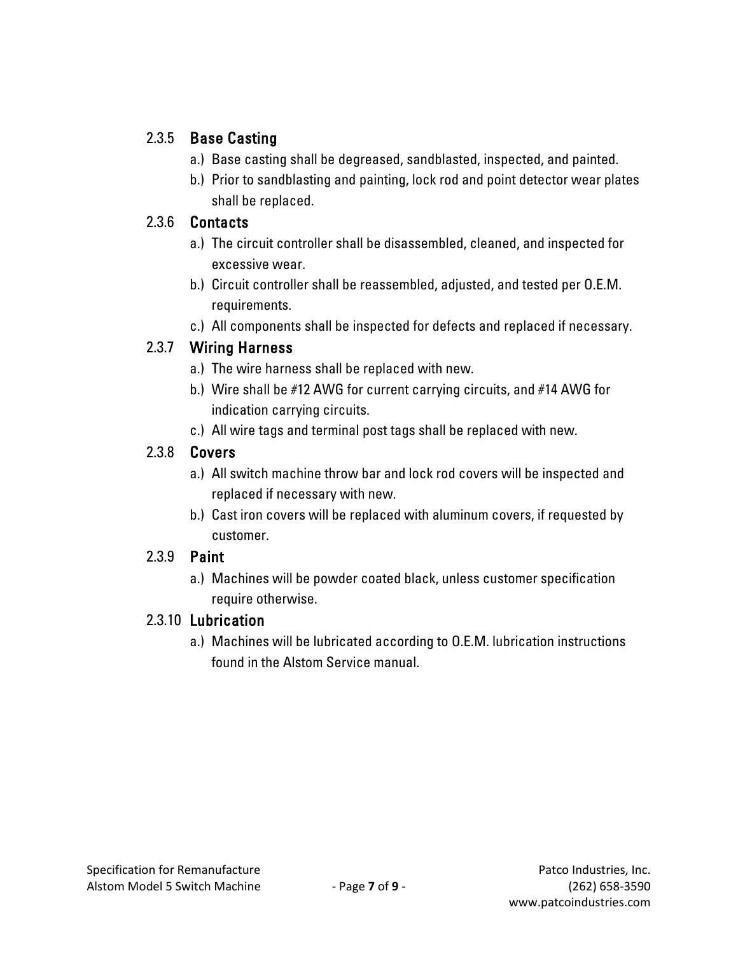#### 2.3.5 Base Casting

- a.) Base casting shall be degreased, sandblasted, inspected, and painted.
- b.) Prior to sandblasting and painting, lock rod and point detector wear plates shall be replaced.

#### 2.3.6 Contacts

- a.) The circuit controller shall be disassembled, cleaned, and inspected for excessive wear.
- b.) Circuit controller shall be reassembled, adjusted, and tested per O.E.M. requirements.
- c.) All components shall be inspected for defects and replaced if necessary.

#### 2.3.7 Wiring Harness

- a.) The wire harness shall be replaced with new.
- b.) Wire shall be #12 AWG for current carrying circuits, and #14 AWG for indication carrying circuits.
- c.) All wire tags and terminal post tags shall be replaced with new.

#### 2.3.8 Covers

- a.) All switch machine throw bar and lock rod covers will be inspected and replaced if necessary with new.
- b.) Cast iron covers will be replaced with aluminum covers, if requested by customer.

#### 2.3.9 Paint

a.) Machines will be powder coated black, unless customer specification require otherwise.

#### 2.3.10 Lubrication

a.) Machines will be lubricated according to O.E.M. lubrication instructions found in the Alstom Service manual.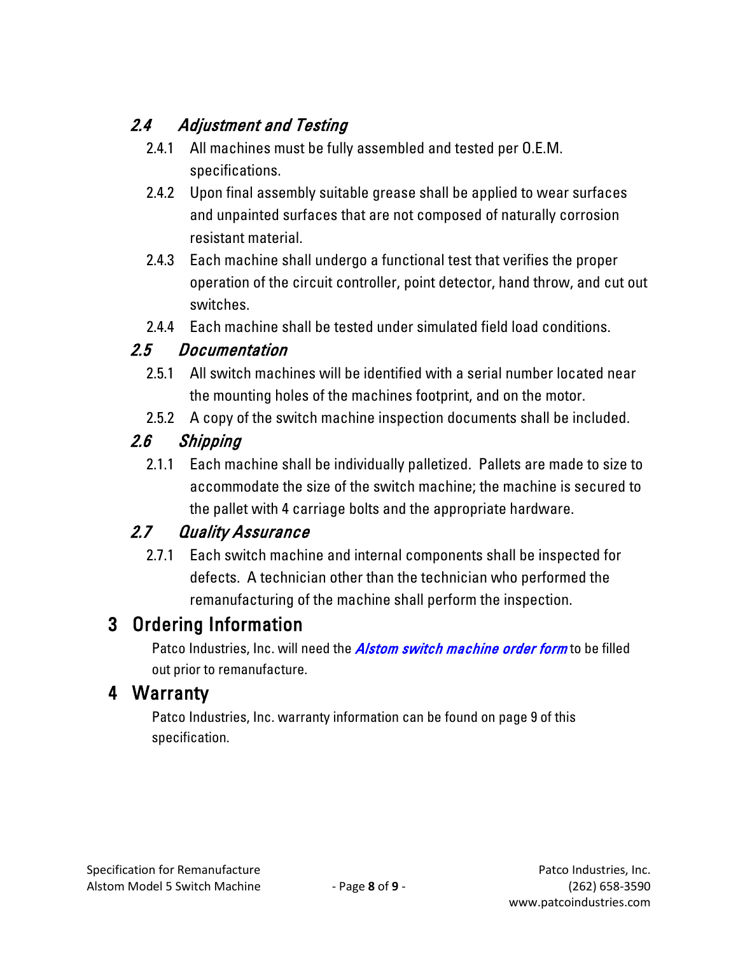# 2.4 Adjustment and Testing

- 2.4.1 All machines must be fully assembled and tested per O.E.M. specifications.
- 2.4.2 Upon final assembly suitable grease shall be applied to wear surfaces and unpainted surfaces that are not composed of naturally corrosion resistant material.
- 2.4.3 Each machine shall undergo a functional test that verifies the proper operation of the circuit controller, point detector, hand throw, and cut out switches.
- 2.4.4 Each machine shall be tested under simulated field load conditions.

## 2.5 Documentation

- 2.5.1 All switch machines will be identified with a serial number located near the mounting holes of the machines footprint, and on the motor.
- 2.5.2 A copy of the switch machine inspection documents shall be included.

## 2.6 Shipping

2.1.1 Each machine shall be individually palletized. Pallets are made to size to accommodate the size of the switch machine; the machine is secured to the pallet with 4 carriage bolts and the appropriate hardware.

## 2.7 Quality Assurance

2.7.1 Each switch machine and internal components shall be inspected for defects. A technician other than the technician who performed the remanufacturing of the machine shall perform the inspection.

# 3 Ordering Information

Patco Industries, Inc. will need the *[Alstom switch machine order form](http://patcoindustries.com/sites/default/files/patco_grs_switch_order_form.pdf)* to be filled out prior to remanufacture.

## 4 Warranty

Patco Industries, Inc. warranty information can be found on page 9 of this specification.